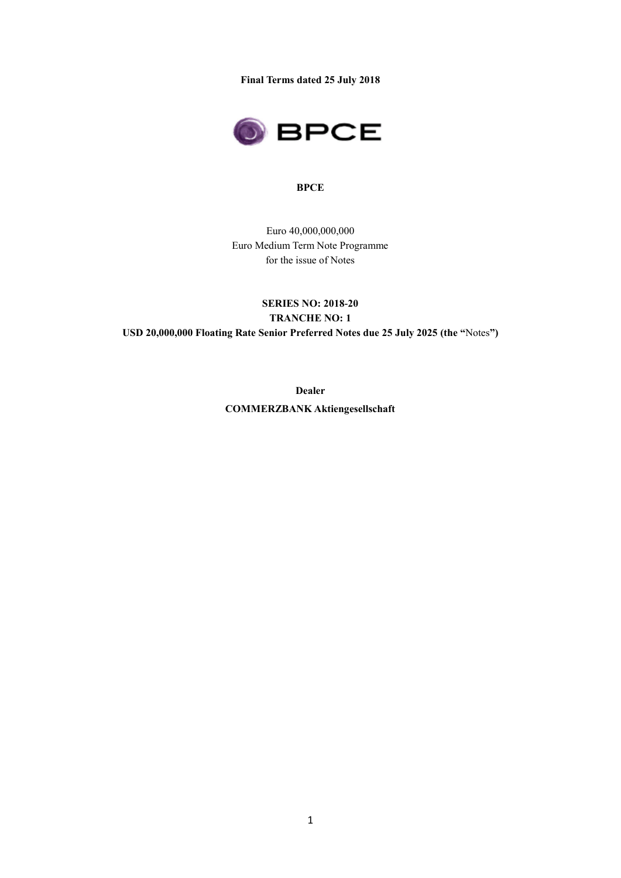**Final Terms dated 25 July 2018**



#### **BPCE**

Euro 40,000,000,000 Euro Medium Term Note Programme for the issue of Notes

# **SERIES NO: 2018-20 TRANCHE NO: 1 USD 20,000,000 Floating Rate Senior Preferred Notes due 25 July 2025 (the "**Notes**")**

**Dealer COMMERZBANK Aktiengesellschaft**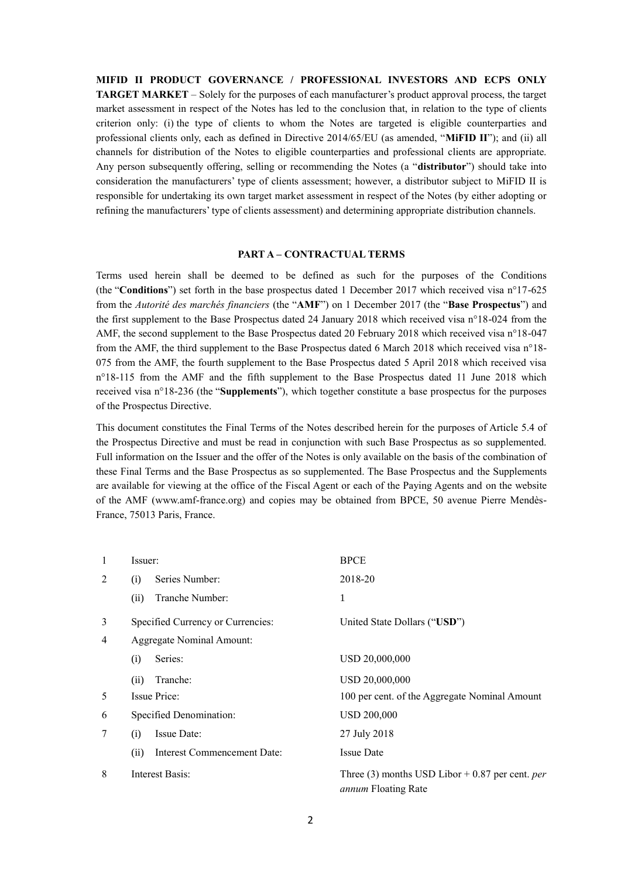**MIFID II PRODUCT GOVERNANCE / PROFESSIONAL INVESTORS AND ECPS ONLY TARGET MARKET** – Solely for the purposes of each manufacturer's product approval process, the target market assessment in respect of the Notes has led to the conclusion that, in relation to the type of clients criterion only: (i) the type of clients to whom the Notes are targeted is eligible counterparties and professional clients only, each as defined in Directive 2014/65/EU (as amended, "**MiFID II**"); and (ii) all channels for distribution of the Notes to eligible counterparties and professional clients are appropriate. Any person subsequently offering, selling or recommending the Notes (a "**distributor**") should take into consideration the manufacturers' type of clients assessment; however, a distributor subject to MiFID II is responsible for undertaking its own target market assessment in respect of the Notes (by either adopting or refining the manufacturers' type of clients assessment) and determining appropriate distribution channels.

#### **PART A – CONTRACTUAL TERMS**

Terms used herein shall be deemed to be defined as such for the purposes of the Conditions (the "**Conditions**") set forth in the base prospectus dated 1 December 2017 which received visa n°17-625 from the *Autorité des marchés financiers* (the "**AMF**") on 1 December 2017 (the "**Base Prospectus**") and the first supplement to the Base Prospectus dated 24 January 2018 which received visa n°18-024 from the AMF, the second supplement to the Base Prospectus dated 20 February 2018 which received visa n°18-047 from the AMF, the third supplement to the Base Prospectus dated 6 March 2018 which received visa n°18- 075 from the AMF, the fourth supplement to the Base Prospectus dated 5 April 2018 which received visa n°18-115 from the AMF and the fifth supplement to the Base Prospectus dated 11 June 2018 which received visa n°18-236 (the "**Supplements**"), which together constitute a base prospectus for the purposes of the Prospectus Directive.

This document constitutes the Final Terms of the Notes described herein for the purposes of Article 5.4 of the Prospectus Directive and must be read in conjunction with such Base Prospectus as so supplemented. Full information on the Issuer and the offer of the Notes is only available on the basis of the combination of these Final Terms and the Base Prospectus as so supplemented. The Base Prospectus and the Supplements are available for viewing at the office of the Fiscal Agent or each of the Paying Agents and on the website of the AMF (www.amf-france.org) and copies may be obtained from BPCE, 50 avenue Pierre Mendès-France, 75013 Paris, France.

| $\mathbf{1}$ | Issuer:                             | <b>BPCE</b>                                                                            |  |  |
|--------------|-------------------------------------|----------------------------------------------------------------------------------------|--|--|
| 2            | Series Number:<br>(i)               | 2018-20                                                                                |  |  |
|              | Tranche Number:<br>(ii)             | 1                                                                                      |  |  |
| 3            | Specified Currency or Currencies:   | United State Dollars ("USD")                                                           |  |  |
| 4            | <b>Aggregate Nominal Amount:</b>    |                                                                                        |  |  |
|              | Series:<br>(i)                      | USD 20,000,000                                                                         |  |  |
|              | Tranche:<br>(ii)                    | USD 20,000,000                                                                         |  |  |
| 5            | Issue Price:                        | 100 per cent. of the Aggregate Nominal Amount                                          |  |  |
| 6            | Specified Denomination:             | <b>USD 200,000</b>                                                                     |  |  |
| 7            | Issue Date:<br>(i)                  | 27 July 2018                                                                           |  |  |
|              | Interest Commencement Date:<br>(ii) | <b>Issue Date</b>                                                                      |  |  |
| 8            | Interest Basis:                     | Three (3) months USD Libor $+$ 0.87 per cent. <i>per</i><br><i>annum</i> Floating Rate |  |  |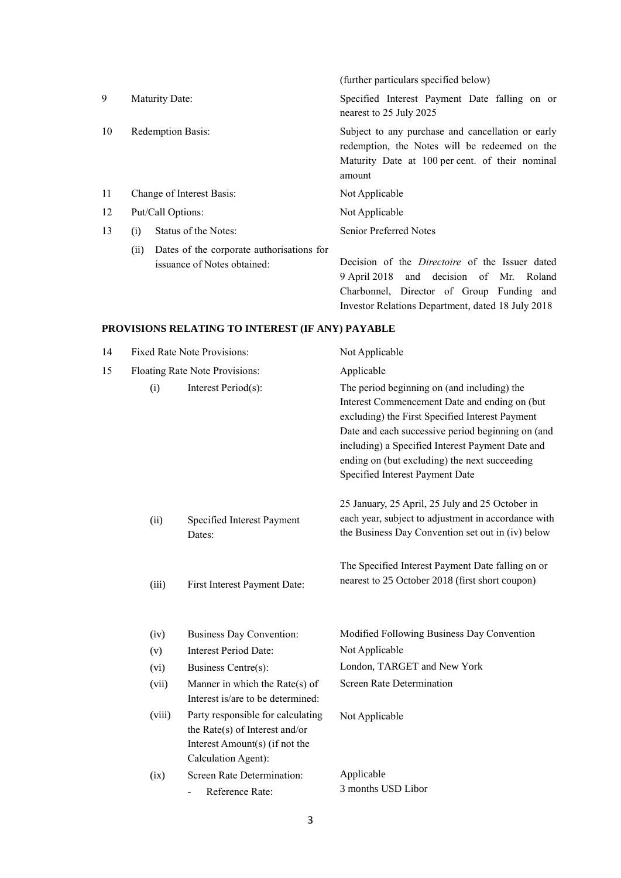|    |                                                                                  | (further particulars specified below)                                                                                                                           |
|----|----------------------------------------------------------------------------------|-----------------------------------------------------------------------------------------------------------------------------------------------------------------|
| 9  | Maturity Date:                                                                   | Specified Interest Payment Date falling on or<br>nearest to 25 July 2025                                                                                        |
| 10 | <b>Redemption Basis:</b>                                                         | Subject to any purchase and cancellation or early<br>redemption, the Notes will be redeemed on the<br>Maturity Date at 100 per cent. of their nominal<br>amount |
| 11 | Change of Interest Basis:                                                        | Not Applicable                                                                                                                                                  |
| 12 | Put/Call Options:                                                                | Not Applicable                                                                                                                                                  |
| 13 | Status of the Notes:<br>(i)                                                      | Senior Preferred Notes                                                                                                                                          |
|    | Dates of the corporate authorisations for<br>(ii)<br>issuance of Notes obtained: | Decision of the <i>Directoire</i> of the Issuer dated<br>and decision of Mr. Roland<br>9 April 2018                                                             |

Charbonnel, Director of Group Funding and

Investor Relations Department, dated 18 July 2018 **PROVISIONS RELATING TO INTEREST (IF ANY) PAYABLE**

| 14 |        | <b>Fixed Rate Note Provisions:</b>                                                                                              | Not Applicable                                                                                                                                                                                                                                                                                                                               |  |  |
|----|--------|---------------------------------------------------------------------------------------------------------------------------------|----------------------------------------------------------------------------------------------------------------------------------------------------------------------------------------------------------------------------------------------------------------------------------------------------------------------------------------------|--|--|
| 15 |        | Floating Rate Note Provisions:                                                                                                  | Applicable                                                                                                                                                                                                                                                                                                                                   |  |  |
|    | (i)    | Interest Period(s):                                                                                                             | The period beginning on (and including) the<br>Interest Commencement Date and ending on (but<br>excluding) the First Specified Interest Payment<br>Date and each successive period beginning on (and<br>including) a Specified Interest Payment Date and<br>ending on (but excluding) the next succeeding<br>Specified Interest Payment Date |  |  |
|    | (ii)   | Specified Interest Payment<br>Dates:                                                                                            | 25 January, 25 April, 25 July and 25 October in<br>each year, subject to adjustment in accordance with<br>the Business Day Convention set out in (iv) below                                                                                                                                                                                  |  |  |
|    | (iii)  | First Interest Payment Date:                                                                                                    | The Specified Interest Payment Date falling on or<br>nearest to 25 October 2018 (first short coupon)                                                                                                                                                                                                                                         |  |  |
|    | (iv)   | <b>Business Day Convention:</b>                                                                                                 | Modified Following Business Day Convention                                                                                                                                                                                                                                                                                                   |  |  |
|    | (v)    | <b>Interest Period Date:</b>                                                                                                    | Not Applicable                                                                                                                                                                                                                                                                                                                               |  |  |
|    | (vi)   | Business Centre(s):                                                                                                             | London, TARGET and New York                                                                                                                                                                                                                                                                                                                  |  |  |
|    | (vii)  | Manner in which the Rate $(s)$ of<br>Interest is/are to be determined:                                                          | <b>Screen Rate Determination</b>                                                                                                                                                                                                                                                                                                             |  |  |
|    | (viii) | Party responsible for calculating<br>the Rate $(s)$ of Interest and/or<br>Interest Amount(s) (if not the<br>Calculation Agent): | Not Applicable                                                                                                                                                                                                                                                                                                                               |  |  |
|    | (ix)   | Screen Rate Determination:<br>Reference Rate:<br>$\overline{\phantom{a}}$                                                       | Applicable<br>3 months USD Libor                                                                                                                                                                                                                                                                                                             |  |  |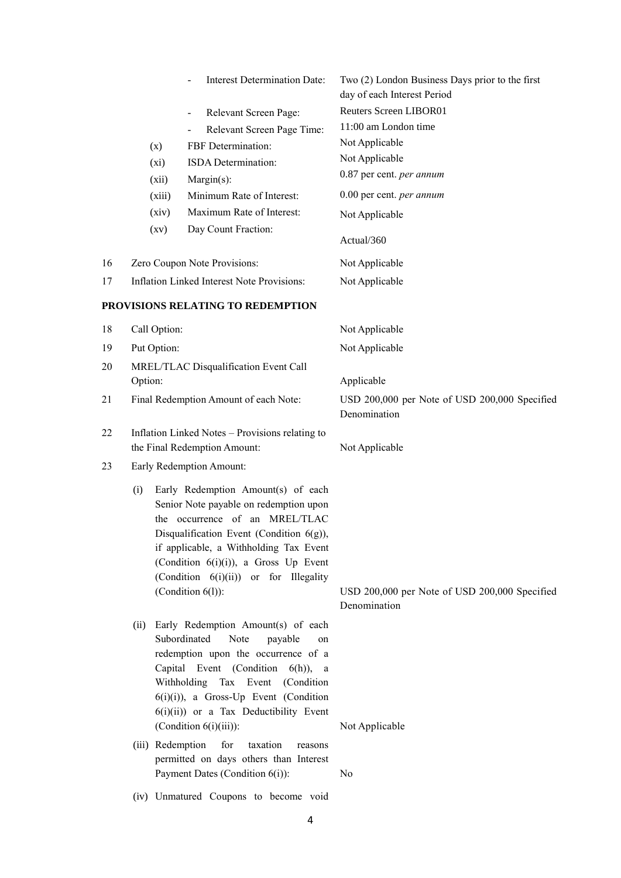|    |                  | Interest Determination Date:                                                                                                                                                                                                                                                                                            | Two (2) London Business Days prior to the first<br>day of each Interest Period |
|----|------------------|-------------------------------------------------------------------------------------------------------------------------------------------------------------------------------------------------------------------------------------------------------------------------------------------------------------------------|--------------------------------------------------------------------------------|
|    |                  | Relevant Screen Page:                                                                                                                                                                                                                                                                                                   | <b>Reuters Screen LIBOR01</b>                                                  |
|    |                  | $\overline{\phantom{0}}$<br>Relevant Screen Page Time:                                                                                                                                                                                                                                                                  | 11:00 am London time                                                           |
|    | (x)              | FBF Determination:                                                                                                                                                                                                                                                                                                      | Not Applicable                                                                 |
|    | (xi)             | ISDA Determination:                                                                                                                                                                                                                                                                                                     | Not Applicable                                                                 |
|    | (xii)            | $Margin(s)$ :                                                                                                                                                                                                                                                                                                           | 0.87 per cent. per annum                                                       |
|    | (xiii)           | Minimum Rate of Interest:                                                                                                                                                                                                                                                                                               | 0.00 per cent. per annum                                                       |
|    | (xiv)            | Maximum Rate of Interest:                                                                                                                                                                                                                                                                                               | Not Applicable                                                                 |
|    | (xv)             | Day Count Fraction:                                                                                                                                                                                                                                                                                                     | Actual/360                                                                     |
| 16 |                  | Zero Coupon Note Provisions:                                                                                                                                                                                                                                                                                            | Not Applicable                                                                 |
| 17 |                  | <b>Inflation Linked Interest Note Provisions:</b>                                                                                                                                                                                                                                                                       | Not Applicable                                                                 |
|    |                  | PROVISIONS RELATING TO REDEMPTION                                                                                                                                                                                                                                                                                       |                                                                                |
| 18 | Call Option:     |                                                                                                                                                                                                                                                                                                                         | Not Applicable                                                                 |
| 19 | Put Option:      |                                                                                                                                                                                                                                                                                                                         | Not Applicable                                                                 |
| 20 |                  | MREL/TLAC Disqualification Event Call                                                                                                                                                                                                                                                                                   |                                                                                |
|    | Option:          |                                                                                                                                                                                                                                                                                                                         | Applicable                                                                     |
| 21 |                  | Final Redemption Amount of each Note:                                                                                                                                                                                                                                                                                   | USD 200,000 per Note of USD 200,000 Specified<br>Denomination                  |
| 22 |                  | Inflation Linked Notes - Provisions relating to<br>the Final Redemption Amount:                                                                                                                                                                                                                                         | Not Applicable                                                                 |
| 23 |                  | Early Redemption Amount:                                                                                                                                                                                                                                                                                                |                                                                                |
|    | (i)<br>the       | Early Redemption Amount(s) of each<br>Senior Note payable on redemption upon<br>occurrence of an MREL/TLAC<br>Disqualification Event (Condition 6(g)),<br>if applicable, a Withholding Tax Event<br>(Condition 6(i)(i)), a Gross Up Event<br>(Condition 6(i)(ii)) or for Illegality<br>(Condition $6(l)$ ):             | USD 200,000 per Note of USD 200,000 Specified<br>Denomination                  |
|    | (ii)             | Early Redemption Amount(s) of each<br>Subordinated<br>Note<br>payable<br>on<br>redemption upon the occurrence of a<br>Capital Event (Condition<br>$6(h)$ , a<br>Withholding Tax Event<br>(Condition)<br>$6(i)(i)$ , a Gross-Up Event (Condition<br>$6(i)(ii)$ or a Tax Deductibility Event<br>(Condition $6(i)(iii)$ ): | Not Applicable                                                                 |
|    | (iii) Redemption | for<br>taxation<br>reasons<br>permitted on days others than Interest<br>Payment Dates (Condition 6(i)):                                                                                                                                                                                                                 | N <sub>0</sub>                                                                 |

(iv) Unmatured Coupons to become void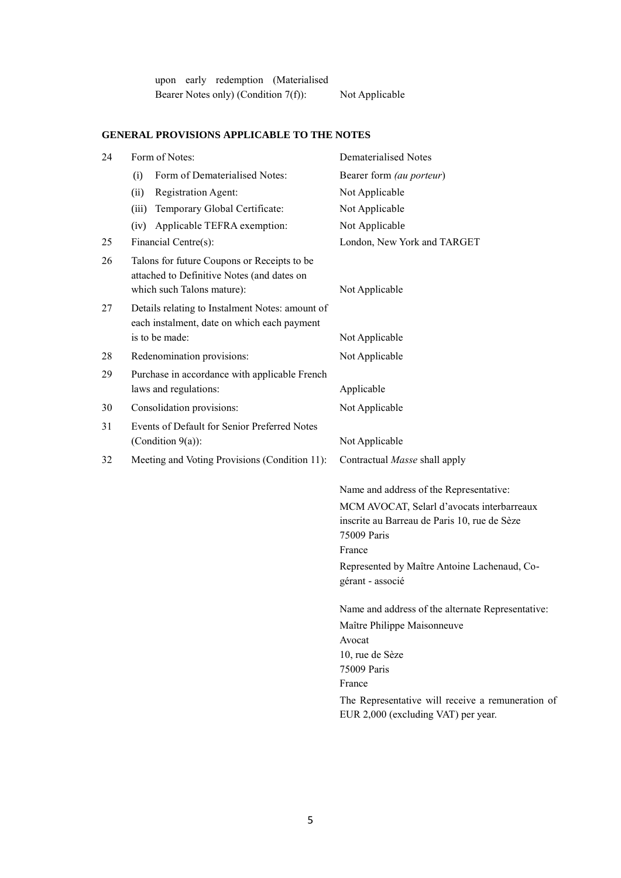upon early redemption (Materialised Bearer Notes only) (Condition 7(f)): Not Applicable

## **GENERAL PROVISIONS APPLICABLE TO THE NOTES**

| 24 | Form of Notes:                                                                                                          | Dematerialised Notes                                                                                                |
|----|-------------------------------------------------------------------------------------------------------------------------|---------------------------------------------------------------------------------------------------------------------|
|    | Form of Dematerialised Notes:<br>(i)                                                                                    | Bearer form (au porteur)                                                                                            |
|    | Registration Agent:<br>(ii)                                                                                             | Not Applicable                                                                                                      |
|    | Temporary Global Certificate:<br>(iii)                                                                                  | Not Applicable                                                                                                      |
|    | (iv) Applicable TEFRA exemption:                                                                                        | Not Applicable                                                                                                      |
| 25 | Financial Centre(s):                                                                                                    | London, New York and TARGET                                                                                         |
| 26 | Talons for future Coupons or Receipts to be<br>attached to Definitive Notes (and dates on<br>which such Talons mature): | Not Applicable                                                                                                      |
| 27 | Details relating to Instalment Notes: amount of<br>each instalment, date on which each payment                          |                                                                                                                     |
|    | is to be made:                                                                                                          | Not Applicable                                                                                                      |
| 28 | Redenomination provisions:                                                                                              | Not Applicable                                                                                                      |
| 29 | Purchase in accordance with applicable French<br>laws and regulations:                                                  | Applicable                                                                                                          |
| 30 | Consolidation provisions:                                                                                               | Not Applicable                                                                                                      |
| 31 | Events of Default for Senior Preferred Notes<br>(Condition $9(a)$ ):                                                    | Not Applicable                                                                                                      |
| 32 | Meeting and Voting Provisions (Condition 11):                                                                           | Contractual Masse shall apply                                                                                       |
|    |                                                                                                                         | Name and address of the Representative:                                                                             |
|    |                                                                                                                         | MCM AVOCAT, Selarl d'avocats interbarreaux<br>inscrite au Barreau de Paris 10, rue de Sèze<br>75009 Paris<br>France |
|    |                                                                                                                         | Represented by Maître Antoine Lachenaud, Co-<br>gérant - associé                                                    |
|    |                                                                                                                         | Name and address of the alternate Representative:                                                                   |
|    |                                                                                                                         | Maître Philippe Maisonneuve                                                                                         |
|    |                                                                                                                         | Avocat<br>10, rue de Sèze                                                                                           |
|    |                                                                                                                         | 75009 Paris                                                                                                         |
|    |                                                                                                                         | France                                                                                                              |
|    |                                                                                                                         | The Representative will receive a remuneration of<br>EUR 2,000 (excluding VAT) per year.                            |
|    |                                                                                                                         |                                                                                                                     |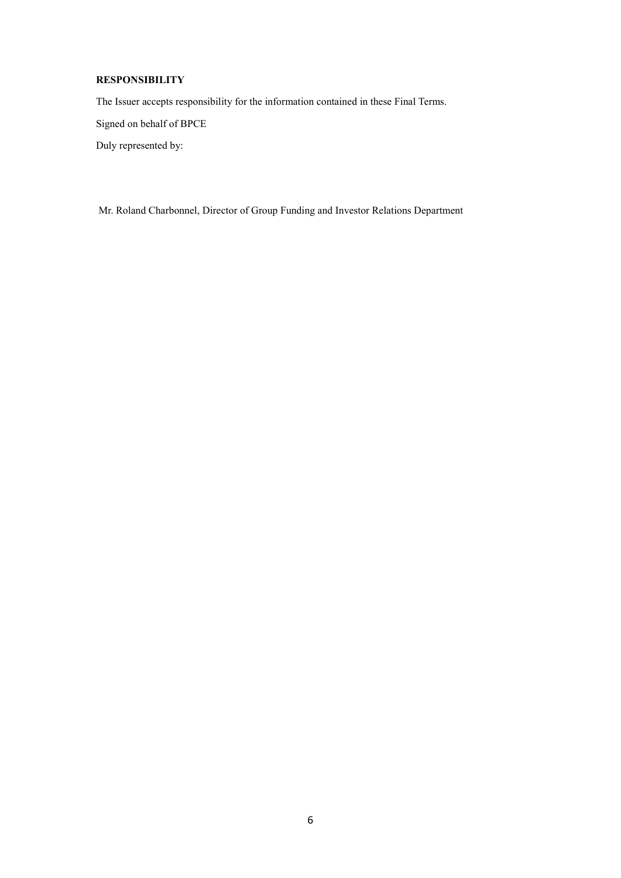## **RESPONSIBILITY**

The Issuer accepts responsibility for the information contained in these Final Terms.

Signed on behalf of BPCE

Duly represented by:

Mr. Roland Charbonnel, Director of Group Funding and Investor Relations Department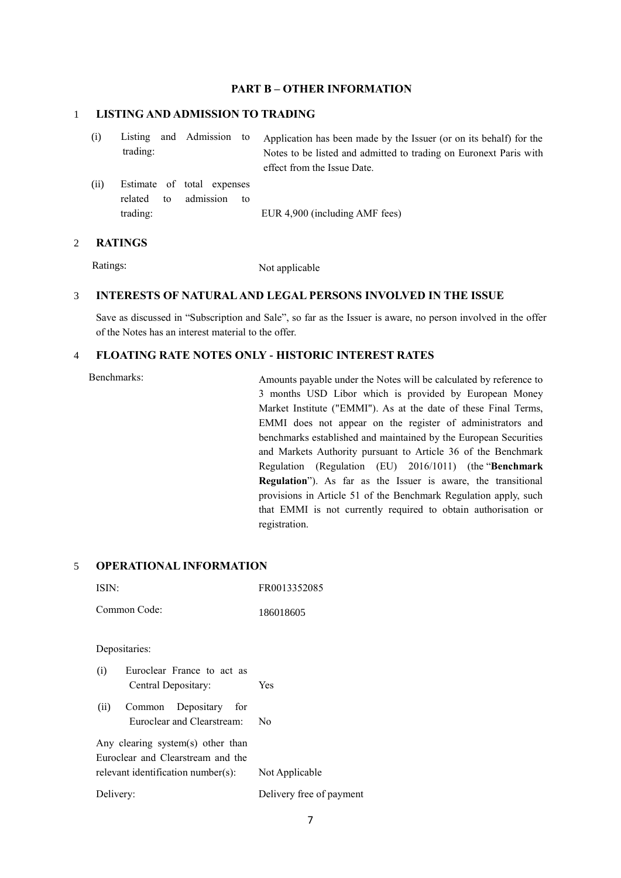### **PART B – OTHER INFORMATION**

#### 1 **LISTING AND ADMISSION TO TRADING**

| (i) |          |  | Listing and Admission to Application has been made by the Issuer (or on its behalf) for the |
|-----|----------|--|---------------------------------------------------------------------------------------------|
|     | trading: |  | Notes to be listed and admitted to trading on Euronext Paris with                           |
|     |          |  | effect from the Issue Date.                                                                 |

(ii) Estimate of total expenses related to admission to trading: EUR 4,900 (including AMF fees)

#### 2 **RATINGS**

Ratings: Not applicable

#### 3 **INTERESTS OF NATURAL AND LEGAL PERSONS INVOLVED IN THE ISSUE**

Save as discussed in "Subscription and Sale", so far as the Issuer is aware, no person involved in the offer of the Notes has an interest material to the offer.

### 4 **FLOATING RATE NOTES ONLY - HISTORIC INTEREST RATES**

Benchmarks: Amounts payable under the Notes will be calculated by reference to 3 months USD Libor which is provided by European Money Market Institute ("EMMI"). As at the date of these Final Terms, EMMI does not appear on the register of administrators and benchmarks established and maintained by the European Securities and Markets Authority pursuant to Article 36 of the Benchmark Regulation (Regulation (EU) 2016/1011) (the "**Benchmark Regulation**"). As far as the Issuer is aware, the transitional provisions in Article 51 of the Benchmark Regulation apply, such that EMMI is not currently required to obtain authorisation or registration.

## 5 **OPERATIONAL INFORMATION**

| ISIN:                                                                  | FR0013352085             |  |  |  |
|------------------------------------------------------------------------|--------------------------|--|--|--|
| Common Code:                                                           | 186018605                |  |  |  |
| Depositaries:                                                          |                          |  |  |  |
| Euroclear France to act as<br>(i)<br>Central Depositary:               | Yes                      |  |  |  |
| Common Depositary for<br>(ii)<br>Euroclear and Clearstream:            | No                       |  |  |  |
| Any clearing system(s) other than<br>Euroclear and Clearstream and the |                          |  |  |  |
| relevant identification number(s):                                     | Not Applicable           |  |  |  |
| Delivery:                                                              | Delivery free of payment |  |  |  |